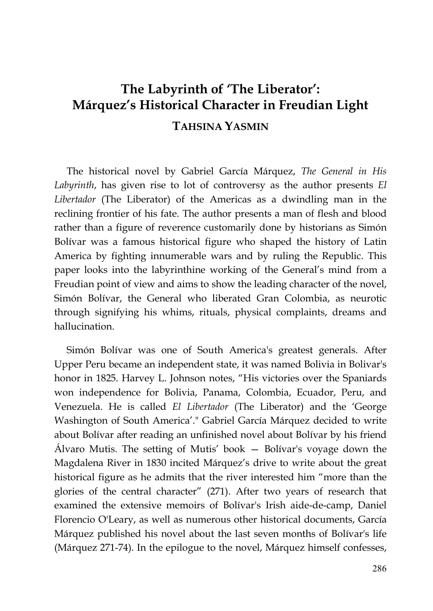## **The Labyrinth of 'The Liberator': Márquez's Historical Character in Freudian Light TAHSINA YASMIN**

The historical novel by Gabriel García Márquez, *The General in His Labyrinth*, has given rise to lot of controversy as the author presents *El Libertador* (The Liberator) of the Americas as a dwindling man in the reclining frontier of his fate. The author presents a man of flesh and blood rather than a figure of reverence customarily done by historians as Simón Bolívar was a famous historical figure who shaped the history of Latin America by fighting innumerable wars and by ruling the Republic. This paper looks into the labyrinthine working of the General's mind from a Freudian point of view and aims to show the leading character of the novel, Simón Bolívar, the General who liberated Gran Colombia, as neurotic through signifying his whims, rituals, physical complaints, dreams and hallucination.

Simón Bolívar was one of South America's greatest generals. After Upper Peru became an independent state, it was named Bolivia in Bolivar's honor in 1825. Harvey L. Johnson notes, "His victories over the Spaniards won independence for Bolivia, Panama, Colombia, Ecuador, Peru, and Venezuela. He is called *El Libertador* (The Liberator) and the 'George Washington of South America'." Gabriel García Márquez decided to write about Bolívar after reading an unfinished novel about Bolívar by his friend Álvaro Mutis. The setting of Mutis' book — Bolívar's voyage down the Magdalena River in 1830 incited Márquez's drive to write about the great historical figure as he admits that the river interested him "more than the glories of the central character" (271). After two years of research that examined the extensive memoirs of Bolívar's Irish aide-de-camp, Daniel Florencio O'Leary, as well as numerous other historical documents, García Márquez published his novel about the last seven months of Bolívar's life (Márquez 271-74). In the epilogue to the novel, Márquez himself confesses,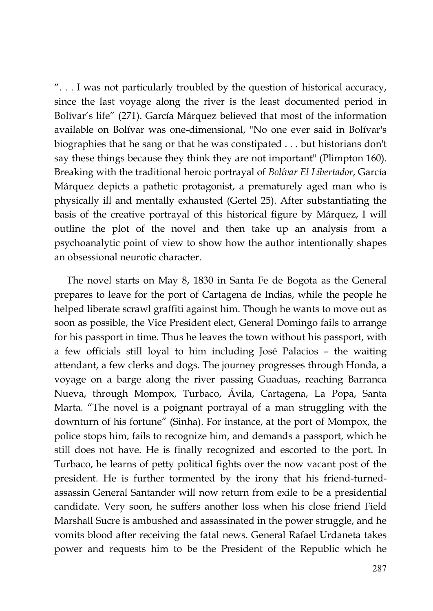". . . I was not particularly troubled by the question of historical accuracy, since the last voyage along the river is the least documented period in Bolívar's life" (271). García Márquez believed that most of the information available on Bolívar was one-dimensional, "No one ever said in Bolívar's biographies that he sang or that he was constipated . . . but historians don't say these things because they think they are not important" (Plimpton 160). Breaking with the traditional heroic portrayal of *Bolívar El Libertador*, García Márquez depicts a pathetic protagonist, a prematurely aged man who is physically ill and mentally exhausted (Gertel 25). After substantiating the basis of the creative portrayal of this historical figure by Márquez, I will outline the plot of the novel and then take up an analysis from a psychoanalytic point of view to show how the author intentionally shapes an obsessional neurotic character.

The novel starts on May 8, 1830 in Santa Fe de Bogota as the General prepares to leave for the port of Cartagena de Indias, while the people he helped liberate scrawl graffiti against him. Though he wants to move out as soon as possible, the Vice President elect, General Domingo fails to arrange for his passport in time. Thus he leaves the town without his passport, with a few officials still loyal to him including José Palacios – the waiting attendant, a few clerks and dogs. The journey progresses through Honda, a voyage on a barge along the river passing Guaduas, reaching Barranca Nueva, through Mompox, Turbaco, Ávila, Cartagena, La Popa, Santa Marta. "The novel is a poignant portrayal of a man struggling with the downturn of his fortune" (Sinha). For instance, at the port of Mompox, the police stops him, fails to recognize him, and demands a passport, which he still does not have. He is finally recognized and escorted to the port. In Turbaco, he learns of petty political fights over the now vacant post of the president. He is further tormented by the irony that his friend-turnedassassin General Santander will now return from exile to be a presidential candidate. Very soon, he suffers another loss when his close friend Field Marshall Sucre is ambushed and assassinated in the power struggle, and he vomits blood after receiving the fatal news. General Rafael Urdaneta takes power and requests him to be the President of the Republic which he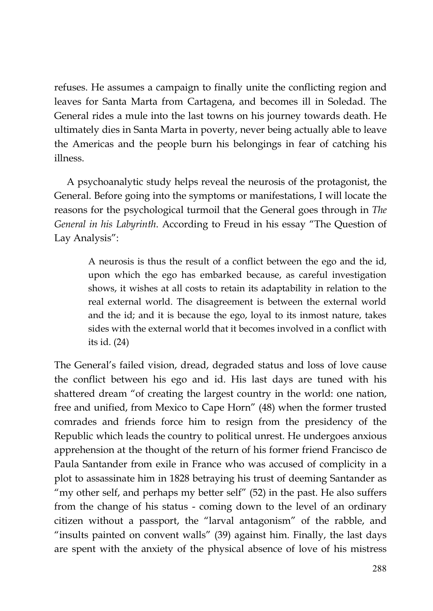refuses. He assumes a campaign to finally unite the conflicting region and leaves for Santa Marta from Cartagena, and becomes ill in Soledad. The General rides a mule into the last towns on his journey towards death. He ultimately dies in Santa Marta in poverty, never being actually able to leave the Americas and the people burn his belongings in fear of catching his illness.

A psychoanalytic study helps reveal the neurosis of the protagonist, the General. Before going into the symptoms or manifestations, I will locate the reasons for the psychological turmoil that the General goes through in *The General in his Labyrinth*. According to Freud in his essay "The Question of Lay Analysis":

> A neurosis is thus the result of a conflict between the ego and the id, upon which the ego has embarked because, as careful investigation shows, it wishes at all costs to retain its adaptability in relation to the real external world. The disagreement is between the external world and the id; and it is because the ego, loyal to its inmost nature, takes sides with the external world that it becomes involved in a conflict with its id. (24)

The General's failed vision, dread, degraded status and loss of love cause the conflict between his ego and id. His last days are tuned with his shattered dream "of creating the largest country in the world: one nation, free and unified, from Mexico to Cape Horn" (48) when the former trusted comrades and friends force him to resign from the presidency of the Republic which leads the country to political unrest. He undergoes anxious apprehension at the thought of the return of his former friend Francisco de Paula Santander from exile in France who was accused of complicity in a plot to assassinate him in 1828 betraying his trust of deeming Santander as "my other self, and perhaps my better self" (52) in the past. He also suffers from the change of his status - coming down to the level of an ordinary citizen without a passport, the "larval antagonism" of the rabble, and "insults painted on convent walls" (39) against him. Finally, the last days are spent with the anxiety of the physical absence of love of his mistress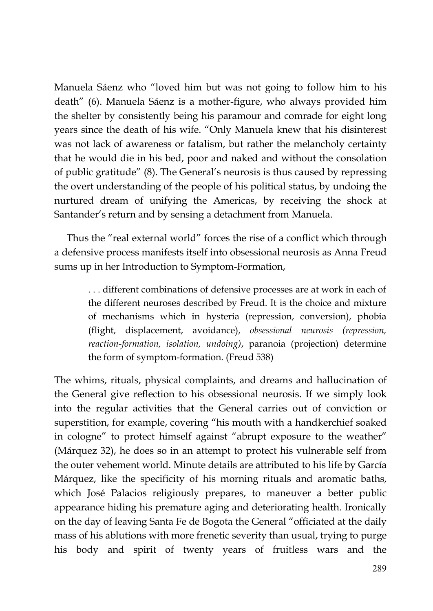Manuela Sáenz who "loved him but was not going to follow him to his death" (6). Manuela Sáenz is a mother-figure, who always provided him the shelter by consistently being his paramour and comrade for eight long years since the death of his wife. "Only Manuela knew that his disinterest was not lack of awareness or fatalism, but rather the melancholy certainty that he would die in his bed, poor and naked and without the consolation of public gratitude" (8). The General's neurosis is thus caused by repressing the overt understanding of the people of his political status, by undoing the nurtured dream of unifying the Americas, by receiving the shock at Santander's return and by sensing a detachment from Manuela.

Thus the "real external world" forces the rise of a conflict which through a defensive process manifests itself into obsessional neurosis as Anna Freud sums up in her Introduction to Symptom-Formation,

> . . . different combinations of defensive processes are at work in each of the different neuroses described by Freud. It is the choice and mixture of mechanisms which in hysteria (repression, conversion), phobia (flight, displacement, avoidance), *obsessional neurosis (repression, reaction-formation, isolation, undoing)*, paranoia (projection) determine the form of symptom-formation. (Freud 538)

The whims, rituals, physical complaints, and dreams and hallucination of the General give reflection to his obsessional neurosis. If we simply look into the regular activities that the General carries out of conviction or superstition, for example, covering "his mouth with a handkerchief soaked in cologne" to protect himself against "abrupt exposure to the weather" (Márquez 32), he does so in an attempt to protect his vulnerable self from the outer vehement world. Minute details are attributed to his life by García Márquez, like the specificity of his morning rituals and aromatic baths, which José Palacios religiously prepares, to maneuver a better public appearance hiding his premature aging and deteriorating health. Ironically on the day of leaving Santa Fe de Bogota the General "officiated at the daily mass of his ablutions with more frenetic severity than usual, trying to purge his body and spirit of twenty years of fruitless wars and the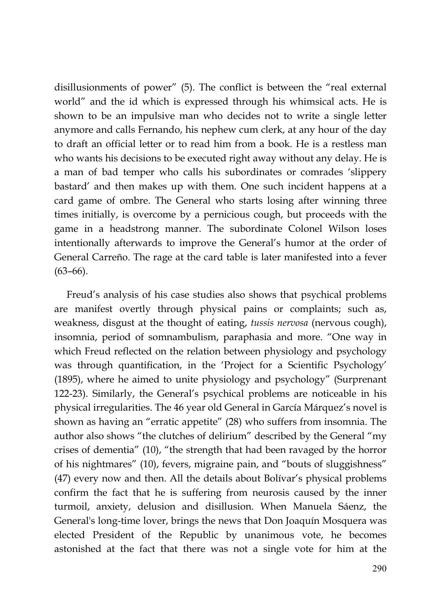disillusionments of power" (5). The conflict is between the "real external world" and the id which is expressed through his whimsical acts. He is shown to be an impulsive man who decides not to write a single letter anymore and calls Fernando, his nephew cum clerk, at any hour of the day to draft an official letter or to read him from a book. He is a restless man who wants his decisions to be executed right away without any delay. He is a man of bad temper who calls his subordinates or comrades 'slippery bastard' and then makes up with them. One such incident happens at a card game of ombre. The General who starts losing after winning three times initially, is overcome by a pernicious cough, but proceeds with the game in a headstrong manner. The subordinate Colonel Wilson loses intentionally afterwards to improve the General's humor at the order of General Carreño. The rage at the card table is later manifested into a fever  $(63–66)$ .

Freud's analysis of his case studies also shows that psychical problems are manifest overtly through physical pains or complaints; such as, weakness, disgust at the thought of eating, *tussis nervosa* (nervous cough), insomnia, period of somnambulism, paraphasia and more. "One way in which Freud reflected on the relation between physiology and psychology was through quantification, in the 'Project for a Scientific Psychology' (1895), where he aimed to unite physiology and psychology" (Surprenant 122-23). Similarly, the General's psychical problems are noticeable in his physical irregularities. The 46 year old General in García Márquez's novel is shown as having an "erratic appetite" (28) who suffers from insomnia. The author also shows "the clutches of delirium" described by the General "my crises of dementia" (10), "the strength that had been ravaged by the horror of his nightmares" (10), fevers, migraine pain, and "bouts of sluggishness" (47) every now and then. All the details about Bolívar's physical problems confirm the fact that he is suffering from neurosis caused by the inner turmoil, anxiety, delusion and disillusion. When Manuela Sáenz, the General's long-time lover, brings the news that Don Joaquín Mosquera was elected President of the Republic by unanimous vote, he becomes astonished at the fact that there was not a single vote for him at the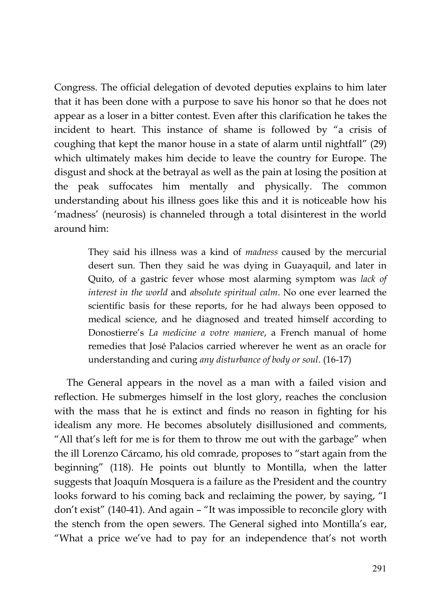Congress. The official delegation of devoted deputies explains to him later that it has been done with a purpose to save his honor so that he does not appear as a loser in a bitter contest. Even after this clarification he takes the incident to heart. This instance of shame is followed by "a crisis of coughing that kept the manor house in a state of alarm until nightfall" (29) which ultimately makes him decide to leave the country for Europe. The disgust and shock at the betrayal as well as the pain at losing the position at the peak suffocates him mentally and physically. The common understanding about his illness goes like this and it is noticeable how his 'madness' (neurosis) is channeled through a total disinterest in the world around him:

> They said his illness was a kind of *madness* caused by the mercurial desert sun. Then they said he was dying in Guayaquil, and later in Quito, of a gastric fever whose most alarming symptom was *lack of interest in the world* and *absolute spiritual calm*. No one ever learned the scientific basis for these reports, for he had always been opposed to medical science, and he diagnosed and treated himself according to Donostierre's *La medicine a votre maniere*, a French manual of home remedies that José Palacios carried wherever he went as an oracle for understanding and curing *any disturbance of body or soul*. (16-17)

The General appears in the novel as a man with a failed vision and reflection. He submerges himself in the lost glory, reaches the conclusion with the mass that he is extinct and finds no reason in fighting for his idealism any more. He becomes absolutely disillusioned and comments, "All that's left for me is for them to throw me out with the garbage" when the ill Lorenzo Cárcamo, his old comrade, proposes to "start again from the beginning" (118). He points out bluntly to Montilla, when the latter suggests that Joaquín Mosquera is a failure as the President and the country looks forward to his coming back and reclaiming the power, by saying, "I don't exist" (140-41). And again – "It was impossible to reconcile glory with the stench from the open sewers. The General sighed into Montilla's ear, "What a price we've had to pay for an independence that's not worth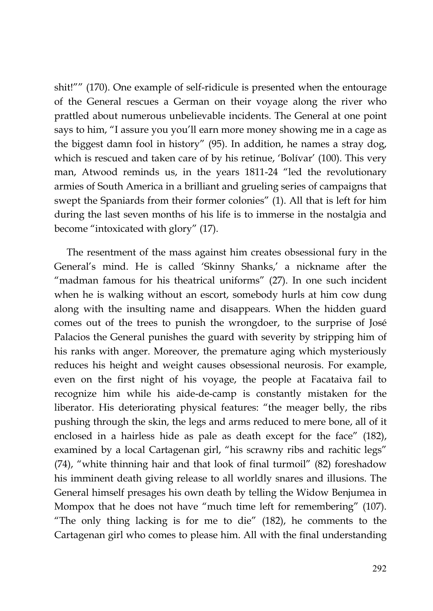shit!"" (170). One example of self-ridicule is presented when the entourage of the General rescues a German on their voyage along the river who prattled about numerous unbelievable incidents. The General at one point says to him, "I assure you you'll earn more money showing me in a cage as the biggest damn fool in history" (95). In addition, he names a stray dog, which is rescued and taken care of by his retinue, 'Bolívar' (100). This very man, Atwood reminds us, in the years 1811-24 "led the revolutionary armies of South America in a brilliant and grueling series of campaigns that swept the Spaniards from their former colonies" (1). All that is left for him during the last seven months of his life is to immerse in the nostalgia and become "intoxicated with glory" (17).

The resentment of the mass against him creates obsessional fury in the General's mind. He is called 'Skinny Shanks,' a nickname after the "madman famous for his theatrical uniforms" (27). In one such incident when he is walking without an escort, somebody hurls at him cow dung along with the insulting name and disappears. When the hidden guard comes out of the trees to punish the wrongdoer, to the surprise of José Palacios the General punishes the guard with severity by stripping him of his ranks with anger. Moreover, the premature aging which mysteriously reduces his height and weight causes obsessional neurosis. For example, even on the first night of his voyage, the people at Facataiva fail to recognize him while his aide-de-camp is constantly mistaken for the liberator. His deteriorating physical features: "the meager belly, the ribs pushing through the skin, the legs and arms reduced to mere bone, all of it enclosed in a hairless hide as pale as death except for the face" (182), examined by a local Cartagenan girl, "his scrawny ribs and rachitic legs" (74), "white thinning hair and that look of final turmoil" (82) foreshadow his imminent death giving release to all worldly snares and illusions. The General himself presages his own death by telling the Widow Benjumea in Mompox that he does not have "much time left for remembering" (107). "The only thing lacking is for me to die" (182), he comments to the Cartagenan girl who comes to please him. All with the final understanding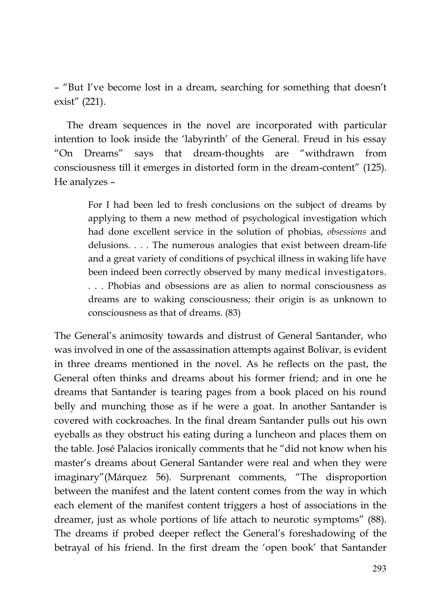– "But I've become lost in a dream, searching for something that doesn't exist" (221).

The dream sequences in the novel are incorporated with particular intention to look inside the 'labyrinth' of the General. Freud in his essay "On Dreams" says that dream-thoughts are "withdrawn from consciousness till it emerges in distorted form in the dream-content" (125). He analyzes –

> For I had been led to fresh conclusions on the subject of dreams by applying to them a new method of psychological investigation which had done excellent service in the solution of phobias, *obsessions* and delusions. . . . The numerous analogies that exist between dream-life and a great variety of conditions of psychical illness in waking life have been indeed been correctly observed by many medical investigators. . . . Phobias and obsessions are as alien to normal consciousness as dreams are to waking consciousness; their origin is as unknown to consciousness as that of dreams. (83)

The General's animosity towards and distrust of General Santander, who was involved in one of the assassination attempts against Bolívar, is evident in three dreams mentioned in the novel. As he reflects on the past, the General often thinks and dreams about his former friend; and in one he dreams that Santander is tearing pages from a book placed on his round belly and munching those as if he were a goat. In another Santander is covered with cockroaches. In the final dream Santander pulls out his own eyeballs as they obstruct his eating during a luncheon and places them on the table. José Palacios ironically comments that he "did not know when his master's dreams about General Santander were real and when they were imaginary"(Márquez 56). Surprenant comments, "The disproportion between the manifest and the latent content comes from the way in which each element of the manifest content triggers a host of associations in the dreamer, just as whole portions of life attach to neurotic symptoms" (88). The dreams if probed deeper reflect the General's foreshadowing of the betrayal of his friend. In the first dream the 'open book' that Santander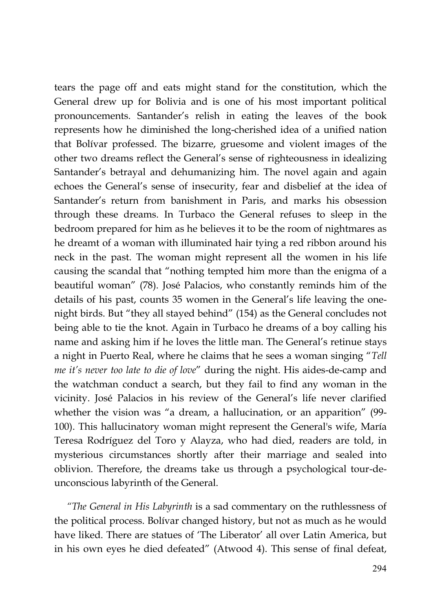tears the page off and eats might stand for the constitution, which the General drew up for Bolivia and is one of his most important political pronouncements. Santander's relish in eating the leaves of the book represents how he diminished the long-cherished idea of a unified nation that Bolívar professed. The bizarre, gruesome and violent images of the other two dreams reflect the General's sense of righteousness in idealizing Santander's betrayal and dehumanizing him. The novel again and again echoes the General's sense of insecurity, fear and disbelief at the idea of Santander's return from banishment in Paris, and marks his obsession through these dreams. In Turbaco the General refuses to sleep in the bedroom prepared for him as he believes it to be the room of nightmares as he dreamt of a woman with illuminated hair tying a red ribbon around his neck in the past. The woman might represent all the women in his life causing the scandal that "nothing tempted him more than the enigma of a beautiful woman" (78). José Palacios, who constantly reminds him of the details of his past, counts 35 women in the General's life leaving the onenight birds. But "they all stayed behind" (154) as the General concludes not being able to tie the knot. Again in Turbaco he dreams of a boy calling his name and asking him if he loves the little man. The General's retinue stays a night in Puerto Real, where he claims that he sees a woman singing "*Tell me it's never too late to die of love*" during the night. His aides-de-camp and the watchman conduct a search, but they fail to find any woman in the vicinity. José Palacios in his review of the General's life never clarified whether the vision was "a dream, a hallucination, or an apparition" (99- 100). This hallucinatory woman might represent the General's wife, María Teresa Rodríguez del Toro y Alayza, who had died, readers are told, in mysterious circumstances shortly after their marriage and sealed into oblivion. Therefore, the dreams take us through a psychological tour-deunconscious labyrinth of the General.

*"The General in His Labyrinth* is a sad commentary on the ruthlessness of the political process. Bolívar changed history, but not as much as he would have liked. There are statues of 'The Liberator' all over Latin America, but in his own eyes he died defeated" (Atwood 4). This sense of final defeat,